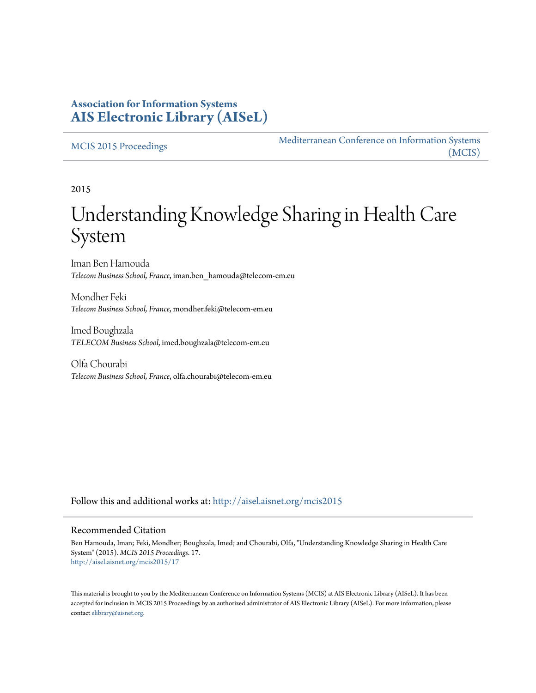### **Association for Information Systems [AIS Electronic Library \(AISeL\)](http://aisel.aisnet.org?utm_source=aisel.aisnet.org%2Fmcis2015%2F17&utm_medium=PDF&utm_campaign=PDFCoverPages)**

#### [MCIS 2015 Proceedings](http://aisel.aisnet.org/mcis2015?utm_source=aisel.aisnet.org%2Fmcis2015%2F17&utm_medium=PDF&utm_campaign=PDFCoverPages)

[Mediterranean Conference on Information Systems](http://aisel.aisnet.org/mcis?utm_source=aisel.aisnet.org%2Fmcis2015%2F17&utm_medium=PDF&utm_campaign=PDFCoverPages) [\(MCIS\)](http://aisel.aisnet.org/mcis?utm_source=aisel.aisnet.org%2Fmcis2015%2F17&utm_medium=PDF&utm_campaign=PDFCoverPages)

2015

# Understanding Knowledge Sharing in Health Care System

Iman Ben Hamouda *Telecom Business School, France*, iman.ben\_hamouda@telecom-em.eu

Mondher Feki *Telecom Business School, France*, mondher.feki@telecom-em.eu

Imed Boughzala *TELECOM Business School*, imed.boughzala@telecom-em.eu

Olfa Chourabi *Telecom Business School, France*, olfa.chourabi@telecom-em.eu

Follow this and additional works at: [http://aisel.aisnet.org/mcis2015](http://aisel.aisnet.org/mcis2015?utm_source=aisel.aisnet.org%2Fmcis2015%2F17&utm_medium=PDF&utm_campaign=PDFCoverPages)

#### Recommended Citation

Ben Hamouda, Iman; Feki, Mondher; Boughzala, Imed; and Chourabi, Olfa, "Understanding Knowledge Sharing in Health Care System" (2015). *MCIS 2015 Proceedings*. 17. [http://aisel.aisnet.org/mcis2015/17](http://aisel.aisnet.org/mcis2015/17?utm_source=aisel.aisnet.org%2Fmcis2015%2F17&utm_medium=PDF&utm_campaign=PDFCoverPages)

This material is brought to you by the Mediterranean Conference on Information Systems (MCIS) at AIS Electronic Library (AISeL). It has been accepted for inclusion in MCIS 2015 Proceedings by an authorized administrator of AIS Electronic Library (AISeL). For more information, please contact [elibrary@aisnet.org.](mailto:elibrary@aisnet.org%3E)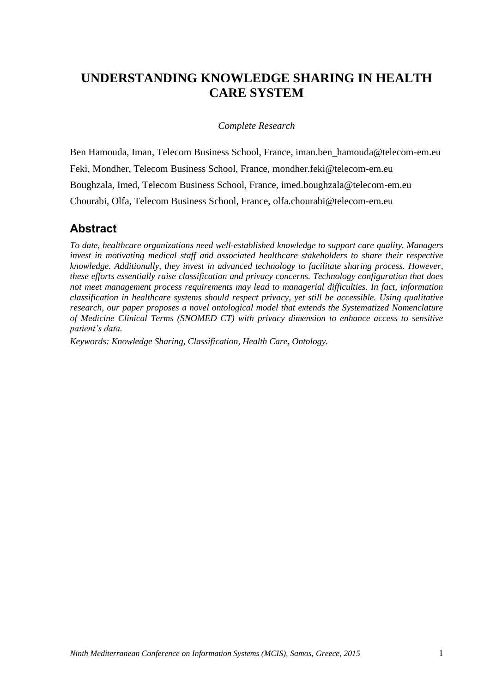# **UNDERSTANDING KNOWLEDGE SHARING IN HEALTH CARE SYSTEM**

#### *Complete Research*

Ben Hamouda, Iman, Telecom Business School, France, [iman.ben\\_hamouda@telecom-em.eu](mailto:iman.ben_hamouda@telecom-em.eu) Feki, Mondher, Telecom Business School, France, [mondher.feki@telecom-em.eu](mailto:mondher.feki@telecom-em.eu) Boughzala, Imed, Telecom Business School, France, [imed.boughzala@telecom-em.eu](mailto:imed.boughzala@telecom-em.eu) Chourabi, Olfa, Telecom Business School, France, [olfa.chourabi@telecom-em.eu](mailto:olfa.chourabi@telecom-em.eu)

### **Abstract**

*To date, healthcare organizations need well-established knowledge to support care quality. Managers invest in motivating medical staff and associated healthcare stakeholders to share their respective knowledge. Additionally, they invest in advanced technology to facilitate sharing process. However, these efforts essentially raise classification and privacy concerns. Technology configuration that does not meet management process requirements may lead to managerial difficulties. In fact, information classification in healthcare systems should respect privacy, yet still be accessible. Using qualitative research, our paper proposes a novel ontological model that extends the Systematized Nomenclature of Medicine Clinical Terms (SNOMED CT) with privacy dimension to enhance access to sensitive patient's data.*

*Keywords: Knowledge Sharing, Classification, Health Care, Ontology.*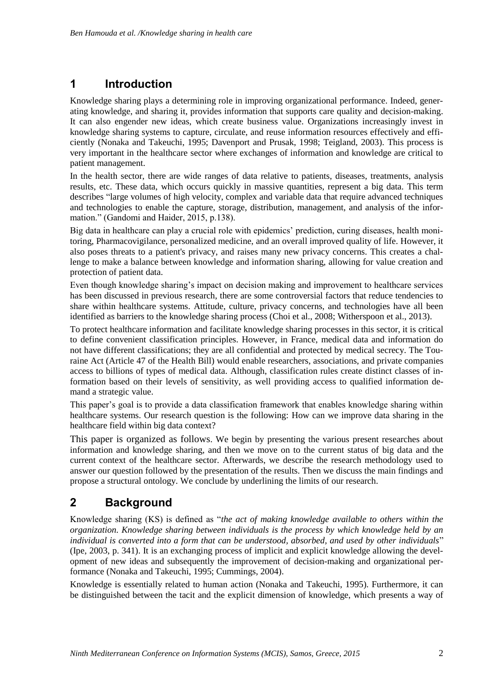### **1 Introduction**

Knowledge sharing plays a determining role in improving organizational performance. Indeed, generating knowledge, and sharing it, provides information that supports care quality and decision-making. It can also engender new ideas, which create business value. Organizations increasingly invest in knowledge sharing systems to capture, circulate, and reuse information resources effectively and efficiently (Nonaka and Takeuchi, 1995; Davenport and Prusak, 1998; Teigland, 2003). This process is very important in the healthcare sector where exchanges of information and knowledge are critical to patient management.

In the health sector, there are wide ranges of data relative to patients, diseases, treatments, analysis results, etc. These data, which occurs quickly in massive quantities, represent a big data. This term describes "large volumes of high velocity, complex and variable data that require advanced techniques and technologies to enable the capture, storage, distribution, management, and analysis of the information." (Gandomi and Haider, 2015, p.138).

Big data in healthcare can play a crucial role with epidemics' prediction, curing diseases, health monitoring, Pharmacovigilance, personalized medicine, and an overall improved quality of life. However, it also poses threats to a patient's privacy, and raises many new privacy concerns. This creates a challenge to make a balance between knowledge and information sharing, allowing for value creation and protection of patient data.

Even though knowledge sharing's impact on decision making and improvement to healthcare services has been discussed in previous research, there are some controversial factors that reduce tendencies to share within healthcare systems. Attitude, culture, privacy concerns, and technologies have all been identified as barriers to the knowledge sharing process (Choi et al., 2008; Witherspoon et al., 2013).

To protect healthcare information and facilitate knowledge sharing processes in this sector, it is critical to define convenient classification principles. However, in France, medical data and information do not have different classifications; they are all confidential and protected by medical secrecy. The Touraine Act (Article 47 of the Health Bill) would enable researchers, associations, and private companies access to billions of types of medical data. Although, classification rules create distinct classes of information based on their levels of sensitivity, as well providing access to qualified information demand a strategic value.

This paper's goal is to provide a data classification framework that enables knowledge sharing within healthcare systems. Our research question is the following: How can we improve data sharing in the healthcare field within big data context?

This paper is organized as follows. We begin by presenting the various present researches about information and knowledge sharing, and then we move on to the current status of big data and the current context of the healthcare sector. Afterwards, we describe the research methodology used to answer our question followed by the presentation of the results. Then we discuss the main findings and propose a structural ontology. We conclude by underlining the limits of our research.

# **2 Background**

Knowledge sharing (KS) is defined as "*the act of making knowledge available to others within the organization. Knowledge sharing between individuals is the process by which knowledge held by an individual is converted into a form that can be understood, absorbed, and used by other individuals*" (Ipe, 2003, p. 341). It is an exchanging process of implicit and explicit knowledge allowing the development of new ideas and subsequently the improvement of decision-making and organizational performance (Nonaka and Takeuchi, 1995; Cummings, 2004).

Knowledge is essentially related to human action (Nonaka and Takeuchi, 1995). Furthermore, it can be distinguished between the tacit and the explicit dimension of knowledge, which presents a way of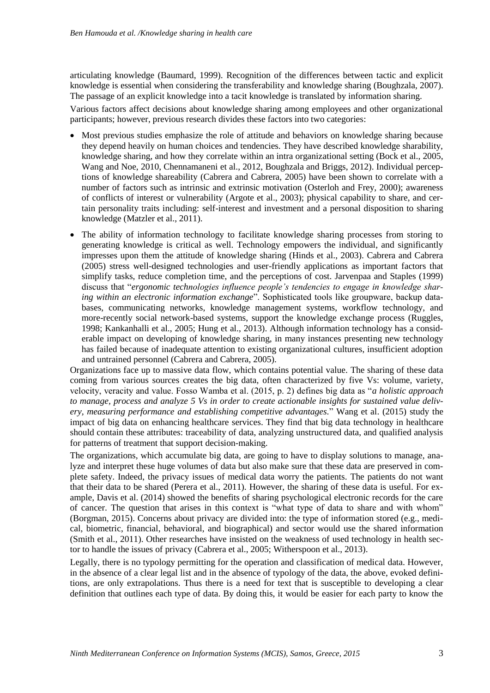articulating knowledge (Baumard, 1999). Recognition of the differences between tactic and explicit knowledge is essential when considering the transferability and knowledge sharing (Boughzala, 2007). The passage of an explicit knowledge into a tacit knowledge is translated by information sharing.

Various factors affect decisions about knowledge sharing among employees and other organizational participants; however, previous research divides these factors into two categories:

- Most previous studies emphasize the role of attitude and behaviors on knowledge sharing because they depend heavily on human choices and tendencies. They have described knowledge sharability, knowledge sharing, and how they correlate within an intra organizational setting (Bock et al., 2005, Wang and Noe, 2010, Chennamaneni et al., 2012, Boughzala and Briggs, 2012). Individual perceptions of knowledge shareability (Cabrera and Cabrera, 2005) have been shown to correlate with a number of factors such as intrinsic and extrinsic motivation (Osterloh and Frey, 2000); awareness of conflicts of interest or vulnerability (Argote et al., 2003); physical capability to share, and certain personality traits including: self-interest and investment and a personal disposition to sharing knowledge (Matzler et al., 2011).
- The ability of information technology to facilitate knowledge sharing processes from storing to generating knowledge is critical as well. Technology empowers the individual, and significantly impresses upon them the attitude of knowledge sharing (Hinds et al., 2003). Cabrera and Cabrera (2005) stress well-designed technologies and user-friendly applications as important factors that simplify tasks, reduce completion time, and the perceptions of cost. Jarvenpaa and Staples (1999) discuss that "*ergonomic technologies influence people's tendencies to engage in knowledge sharing within an electronic information exchange*". Sophisticated tools like groupware, backup databases, communicating networks, knowledge management systems, workflow technology, and more-recently social network-based systems, support the knowledge exchange process (Ruggles, 1998; Kankanhalli et al., 2005; Hung et al., 2013). Although information technology has a considerable impact on developing of knowledge sharing, in many instances presenting new technology has failed because of inadequate attention to existing organizational cultures, insufficient adoption and untrained personnel (Cabrera and Cabrera, 2005).

Organizations face up to massive data flow, which contains potential value. The sharing of these data coming from various sources creates the big data, often characterized by five Vs: volume, variety, velocity, veracity and value. Fosso Wamba et al. (2015, p. 2) defines big data as "*a holistic approach to manage, process and analyze 5 Vs in order to create actionable insights for sustained value delivery, measuring performance and establishing competitive advantages.*" Wang et al. (2015) study the impact of big data on enhancing healthcare services. They find that big data technology in healthcare should contain these attributes: traceability of data, analyzing unstructured data, and qualified analysis for patterns of treatment that support decision-making.

The organizations, which accumulate big data, are going to have to display solutions to manage, analyze and interpret these huge volumes of data but also make sure that these data are preserved in complete safety. Indeed, the privacy issues of medical data worry the patients. The patients do not want that their data to be shared (Perera et al., 2011). However, the sharing of these data is useful. For example, Davis et al. (2014) showed the benefits of sharing psychological electronic records for the care of cancer. The question that arises in this context is "what type of data to share and with whom" (Borgman, 2015). Concerns about privacy are divided into: the type of information stored (e.g., medical, biometric, financial, behavioral, and biographical) and sector would use the shared information (Smith et al., 2011). Other researches have insisted on the weakness of used technology in health sector to handle the issues of privacy (Cabrera et al., 2005; Witherspoon et al., 2013).

Legally, there is no typology permitting for the operation and classification of medical data. However, in the absence of a clear legal list and in the absence of typology of the data, the above, evoked definitions, are only extrapolations. Thus there is a need for text that is susceptible to developing a clear definition that outlines each type of data. By doing this, it would be easier for each party to know the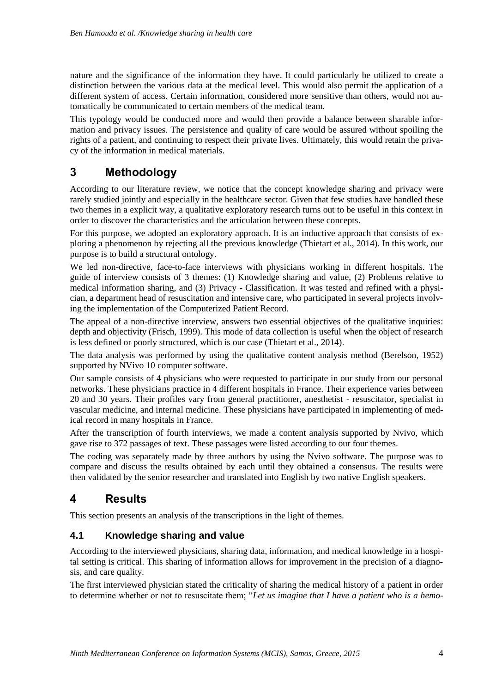nature and the significance of the information they have. It could particularly be utilized to create a distinction between the various data at the medical level. This would also permit the application of a different system of access. Certain information, considered more sensitive than others, would not automatically be communicated to certain members of the medical team.

This typology would be conducted more and would then provide a balance between sharable information and privacy issues. The persistence and quality of care would be assured without spoiling the rights of a patient, and continuing to respect their private lives. Ultimately, this would retain the privacy of the information in medical materials.

# **3 Methodology**

According to our literature review, we notice that the concept knowledge sharing and privacy were rarely studied jointly and especially in the healthcare sector. Given that few studies have handled these two themes in a explicit way, a qualitative exploratory research turns out to be useful in this context in order to discover the characteristics and the articulation between these concepts.

For this purpose, we adopted an exploratory approach. It is an inductive approach that consists of exploring a phenomenon by rejecting all the previous knowledge (Thietart et al., 2014). In this work, our purpose is to build a structural ontology.

We led non-directive, face-to-face interviews with physicians working in different hospitals. The guide of interview consists of 3 themes: (1) Knowledge sharing and value, (2) Problems relative to medical information sharing, and (3) Privacy - Classification. It was tested and refined with a physician, a department head of resuscitation and intensive care, who participated in several projects involving the implementation of the Computerized Patient Record.

The appeal of a non-directive interview, answers two essential objectives of the qualitative inquiries: depth and objectivity (Frisch, 1999). This mode of data collection is useful when the object of research is less defined or poorly structured, which is our case (Thietart et al., 2014).

The data analysis was performed by using the qualitative content analysis method (Berelson, 1952) supported by NVivo 10 computer software.

Our sample consists of 4 physicians who were requested to participate in our study from our personal networks. These physicians practice in 4 different hospitals in France. Their experience varies between 20 and 30 years. Their profiles vary from general practitioner, anesthetist - resuscitator, specialist in vascular medicine, and internal medicine*.* These physicians have participated in implementing of medical record in many hospitals in France.

After the transcription of fourth interviews, we made a content analysis supported by Nvivo, which gave rise to 372 passages of text. These passages were listed according to our four themes.

The coding was separately made by three authors by using the Nvivo software. The purpose was to compare and discuss the results obtained by each until they obtained a consensus. The results were then validated by the senior researcher and translated into English by two native English speakers.

# **4 Results**

This section presents an analysis of the transcriptions in the light of themes.

### **4.1 Knowledge sharing and value**

According to the interviewed physicians, sharing data, information, and medical knowledge in a hospital setting is critical. This sharing of information allows for improvement in the precision of a diagnosis, and care quality.

The first interviewed physician stated the criticality of sharing the medical history of a patient in order to determine whether or not to resuscitate them; "*Let us imagine that I have a patient who is a hemo-*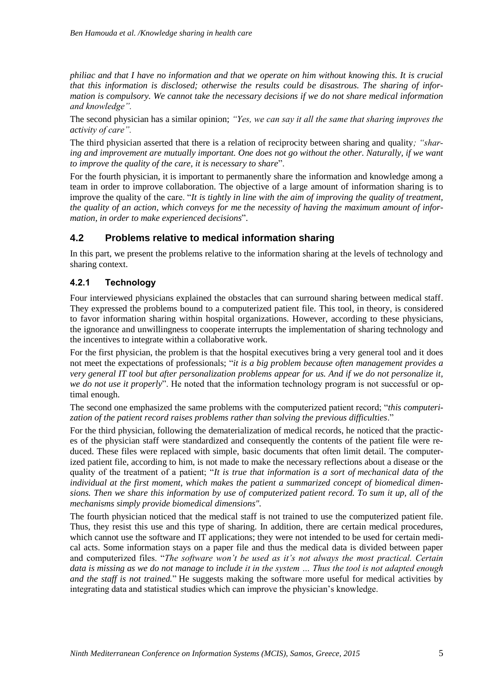*philiac and that I have no information and that we operate on him without knowing this. It is crucial that this information is disclosed; otherwise the results could be disastrous. The sharing of information is compulsory. We cannot take the necessary decisions if we do not share medical information and knowledge".*

The second physician has a similar opinion; *"Yes, we can say it all the same that sharing improves the activity of care".*

The third physician asserted that there is a relation of reciprocity between sharing and quality*; "sharing and improvement are mutually important. One does not go without the other. Naturally, if we want to improve the quality of the care, it is necessary to share*".

For the fourth physician, it is important to permanently share the information and knowledge among a team in order to improve collaboration. The objective of a large amount of information sharing is to improve the quality of the care. "*It is tightly in line with the aim of improving the quality of treatment, the quality of an action, which conveys for me the necessity of having the maximum amount of information, in order to make experienced decisions*".

#### **4.2 Problems relative to medical information sharing**

In this part, we present the problems relative to the information sharing at the levels of technology and sharing context.

#### **4.2.1 Technology**

Four interviewed physicians explained the obstacles that can surround sharing between medical staff. They expressed the problems bound to a computerized patient file. This tool, in theory, is considered to favor information sharing within hospital organizations. However, according to these physicians, the ignorance and unwillingness to cooperate interrupts the implementation of sharing technology and the incentives to integrate within a collaborative work.

For the first physician, the problem is that the hospital executives bring a very general tool and it does not meet the expectations of professionals; "*it is a big problem because often management provides a very general IT tool but after personalization problems appear for us. And if we do not personalize it, we do not use it properly*". He noted that the information technology program is not successful or optimal enough.

The second one emphasized the same problems with the computerized patient record; "*this computerization of the patient record raises problems rather than solving the previous difficulties*."

For the third physician, following the dematerialization of medical records, he noticed that the practices of the physician staff were standardized and consequently the contents of the patient file were reduced. These files were replaced with simple, basic documents that often limit detail. The computerized patient file, according to him, is not made to make the necessary reflections about a disease or the quality of the treatment of a patient; "*It is true that information is a sort of mechanical data of the individual at the first moment, which makes the patient a summarized concept of biomedical dimensions. Then we share this information by use of computerized patient record. To sum it up, all of the mechanisms simply provide biomedical dimensions".* 

The fourth physician noticed that the medical staff is not trained to use the computerized patient file. Thus, they resist this use and this type of sharing. In addition, there are certain medical procedures, which cannot use the software and IT applications; they were not intended to be used for certain medical acts. Some information stays on a paper file and thus the medical data is divided between paper and computerized files. "*The software won't be used as it's not always the most practical. Certain data is missing as we do not manage to include it in the system … Thus the tool is not adapted enough and the staff is not trained.*" He suggests making the software more useful for medical activities by integrating data and statistical studies which can improve the physician's knowledge.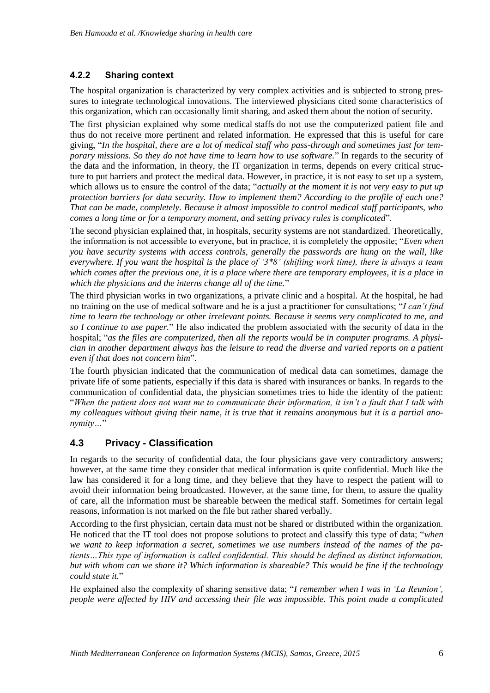### **4.2.2 Sharing context**

The hospital organization is characterized by very complex activities and is subjected to strong pressures to integrate technological innovations. The interviewed physicians cited some characteristics of this organization, which can occasionally limit sharing, and asked them about the notion of security.

The first physician explained why some medical staffs do not use the computerized patient file and thus do not receive more pertinent and related information. He expressed that this is useful for care giving, "*In the hospital, there are a lot of medical staff who pass-through and sometimes just for temporary missions. So they do not have time to learn how to use software.*" In regards to the security of the data and the information, in theory, the IT organization in terms, depends on every critical structure to put barriers and protect the medical data. However, in practice, it is not easy to set up a system, which allows us to ensure the control of the data; "*actually at the moment it is not very easy to put up protection barriers for data security. How to implement them? According to the profile of each one? That can be made, completely. Because it almost impossible to control medical staff participants, who comes a long time or for a temporary moment, and setting privacy rules is complicated*".

The second physician explained that, in hospitals, security systems are not standardized. Theoretically, the information is not accessible to everyone, but in practice, it is completely the opposite; "*Even when you have security systems with access controls, generally the passwords are hung on the wall, like everywhere. If you want the hospital is the place of '3\*8' (shifting work time), there is always a team which comes after the previous one, it is a place where there are temporary employees, it is a place in which the physicians and the interns change all of the time.*"

The third physician works in two organizations, a private clinic and a hospital. At the hospital, he had no training on the use of medical software and he is a just a practitioner for consultations; "*I can't find time to learn the technology or other irrelevant points. Because it seems very complicated to me, and so I continue to use paper.*" He also indicated the problem associated with the security of data in the hospital; "*as the files are computerized, then all the reports would be in computer programs. A physician in another department always has the leisure to read the diverse and varied reports on a patient even if that does not concern him*".

The fourth physician indicated that the communication of medical data can sometimes, damage the private life of some patients, especially if this data is shared with insurances or banks. In regards to the communication of confidential data, the physician sometimes tries to hide the identity of the patient: "*When the patient does not want me to communicate their information, it isn't a fault that I talk with my colleagues without giving their name, it is true that it remains anonymous but it is a partial anonymity…*"

### **4.3 Privacy - Classification**

In regards to the security of confidential data, the four physicians gave very contradictory answers; however, at the same time they consider that medical information is quite confidential. Much like the law has considered it for a long time, and they believe that they have to respect the patient will to avoid their information being broadcasted. However, at the same time, for them, to assure the quality of care, all the information must be shareable between the medical staff. Sometimes for certain legal reasons, information is not marked on the file but rather shared verbally.

According to the first physician, certain data must not be shared or distributed within the organization. He noticed that the IT tool does not propose solutions to protect and classify this type of data; "*when we want to keep information a secret, sometimes we use numbers instead of the names of the patients…This type of information is called confidential. This should be defined as distinct information, but with whom can we share it? Which information is shareable? This would be fine if the technology could state it.*"

He explained also the complexity of sharing sensitive data; "*I remember when I was in 'La Reunion', people were affected by HIV and accessing their file was impossible. This point made a complicated*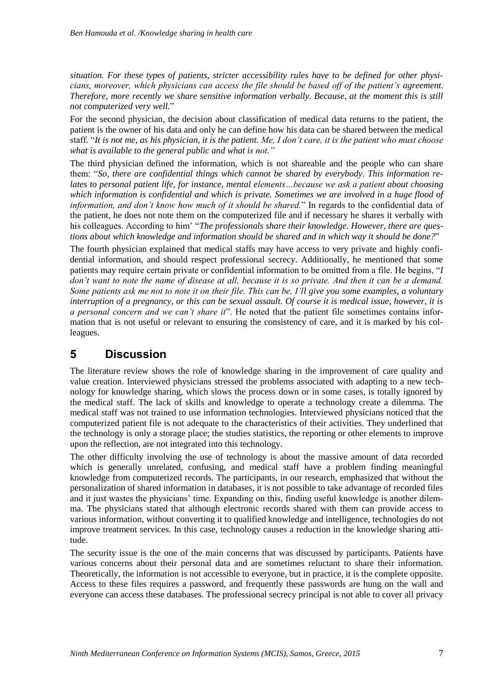*situation. For these types of patients, stricter accessibility rules have to be defined for other physicians, moreover, which physicians can access the file should be based off of the patient's agreement. Therefore, more recently we share sensitive information verbally. Because, at the moment this is still not computerized very well.*"

For the second physician, the decision about classification of medical data returns to the patient, the patient is the owner of his data and only he can define how his data can be shared between the medical staff. "*It is not me, as his physician, it is the patient. Me, I don't care, it is the patient who must choose what is available to the general public and what is not."*

The third physician defined the information, which is not shareable and the people who can share them: "*So, there are confidential things which cannot be shared by everybody. This information relates to personal patient life, for instance, mental elements...because we ask a patient about choosing which information is confidential and which is private. Sometimes we are involved in a huge flood of information, and don't know how much of it should be shared.*" In regards to the confidential data of the patient, he does not note them on the computerized file and if necessary he shares it verbally with his colleagues. According to him' "*The professionals share their knowledge. However, there are questions about which knowledge and information should be shared and in which way it should be done?*"

The fourth physician explained that medical staffs may have access to very private and highly confidential information, and should respect professional secrecy. Additionally, he mentioned that some patients may require certain private or confidential information to be omitted from a file. He begins, "*I don't want to note the name of disease at all, because it is so private. And then it can be a demand. Some patients ask me not to note it on their file. This can be, I'll give you some examples, a voluntary interruption of a pregnancy, or this can be sexual assault. Of course it is medical issue, however, it is a personal concern and we can't share it*". He noted that the patient file sometimes contains information that is not useful or relevant to ensuring the consistency of care, and it is marked by his colleagues.

### **5 Discussion**

The literature review shows the role of knowledge sharing in the improvement of care quality and value creation. Interviewed physicians stressed the problems associated with adapting to a new technology for knowledge sharing, which slows the process down or in some cases, is totally ignored by the medical staff. The lack of skills and knowledge to operate a technology create a dilemma. The medical staff was not trained to use information technologies. Interviewed physicians noticed that the computerized patient file is not adequate to the characteristics of their activities. They underlined that the technology is only a storage place; the studies statistics, the reporting or other elements to improve upon the reflection, are not integrated into this technology.

The other difficulty involving the use of technology is about the massive amount of data recorded which is generally unrelated, confusing, and medical staff have a problem finding meaningful knowledge from computerized records. The participants, in our research, emphasized that without the personalization of shared information in databases, it is not possible to take advantage of recorded files and it just wastes the physicians' time. Expanding on this, finding useful knowledge is another dilemma. The physicians stated that although electronic records shared with them can provide access to various information, without converting it to qualified knowledge and intelligence, technologies do not improve treatment services. In this case, technology causes a reduction in the knowledge sharing attitude.

The security issue is the one of the main concerns that was discussed by participants. Patients have various concerns about their personal data and are sometimes reluctant to share their information. Theoretically, the information is not accessible to everyone, but in practice, it is the complete opposite. Access to these files requires a password, and frequently these passwords are hung on the wall and everyone can access these databases. The professional secrecy principal is not able to cover all privacy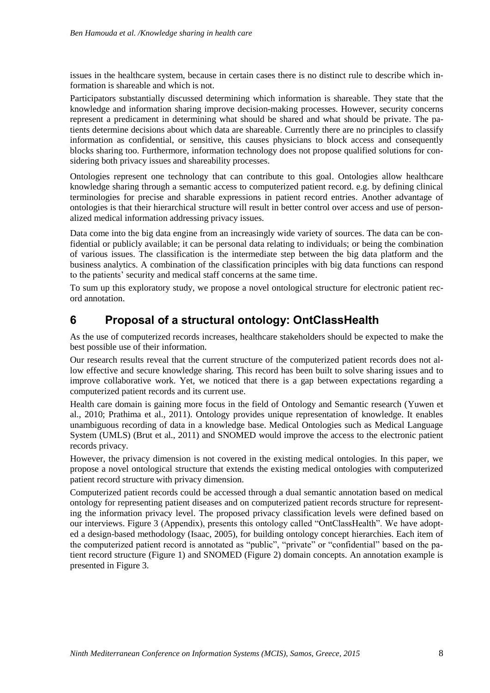issues in the healthcare system, because in certain cases there is no distinct rule to describe which information is shareable and which is not.

Participators substantially discussed determining which information is shareable. They state that the knowledge and information sharing improve decision-making processes. However, security concerns represent a predicament in determining what should be shared and what should be private. The patients determine decisions about which data are shareable. Currently there are no principles to classify information as confidential, or sensitive, this causes physicians to block access and consequently blocks sharing too. Furthermore, information technology does not propose qualified solutions for considering both privacy issues and shareability processes.

Ontologies represent one technology that can contribute to this goal. Ontologies allow healthcare knowledge sharing through a semantic access to computerized patient record. e.g. by defining clinical terminologies for precise and sharable expressions in patient record entries. Another advantage of ontologies is that their hierarchical structure will result in better control over access and use of personalized medical information addressing privacy issues.

Data come into the big data engine from an increasingly wide variety of sources. The data can be confidential or publicly available; it can be personal data relating to individuals; or being the combination of various issues. The classification is the intermediate step between the big data platform and the business analytics. A combination of the classification principles with big data functions can respond to the patients' security and medical staff concerns at the same time.

To sum up this exploratory study, we propose a novel ontological structure for electronic patient record annotation.

### **6 Proposal of a structural ontology: OntClassHealth**

As the use of computerized records increases, healthcare stakeholders should be expected to make the best possible use of their information.

Our research results reveal that the current structure of the computerized patient records does not allow effective and secure knowledge sharing. This record has been built to solve sharing issues and to improve collaborative work. Yet, we noticed that there is a gap between expectations regarding a computerized patient records and its current use.

Health care domain is gaining more focus in the field of Ontology and Semantic research (Yuwen et al., 2010; Prathima et al., 2011). Ontology provides unique representation of knowledge. It enables unambiguous recording of data in a knowledge base. Medical Ontologies such as Medical Language System (UMLS) (Brut et al., 2011) and SNOMED would improve the access to the electronic patient records privacy.

However, the privacy dimension is not covered in the existing medical ontologies. In this paper, we propose a novel ontological structure that extends the existing medical ontologies with computerized patient record structure with privacy dimension.

Computerized patient records could be accessed through a dual semantic annotation based on medical ontology for representing patient diseases and on computerized patient records structure for representing the information privacy level. The proposed privacy classification levels were defined based on our interviews. Figure 3 (Appendix), presents this ontology called "OntClassHealth". We have adopted a design-based methodology (Isaac, 2005), for building ontology concept hierarchies. Each item of the computerized patient record is annotated as "public", "private" or "confidential" based on the patient record structure (Figure 1) and SNOMED (Figure 2) domain concepts. An annotation example is presented in Figure 3.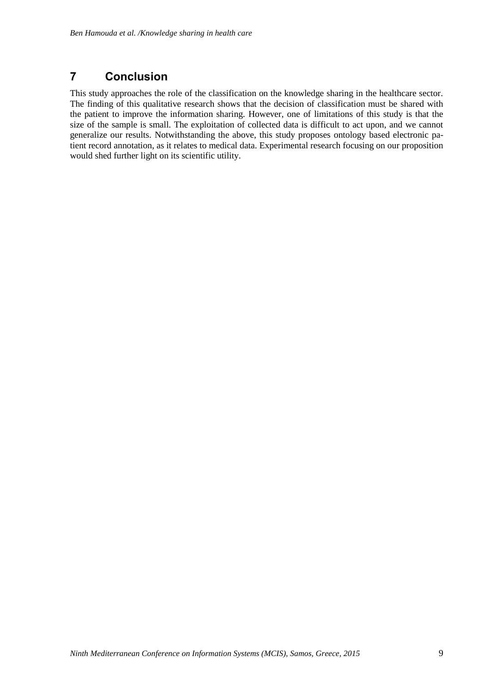# **7 Conclusion**

This study approaches the role of the classification on the knowledge sharing in the healthcare sector. The finding of this qualitative research shows that the decision of classification must be shared with the patient to improve the information sharing. However, one of limitations of this study is that the size of the sample is small. The exploitation of collected data is difficult to act upon, and we cannot generalize our results. Notwithstanding the above, this study proposes ontology based electronic patient record annotation, as it relates to medical data. Experimental research focusing on our proposition would shed further light on its scientific utility.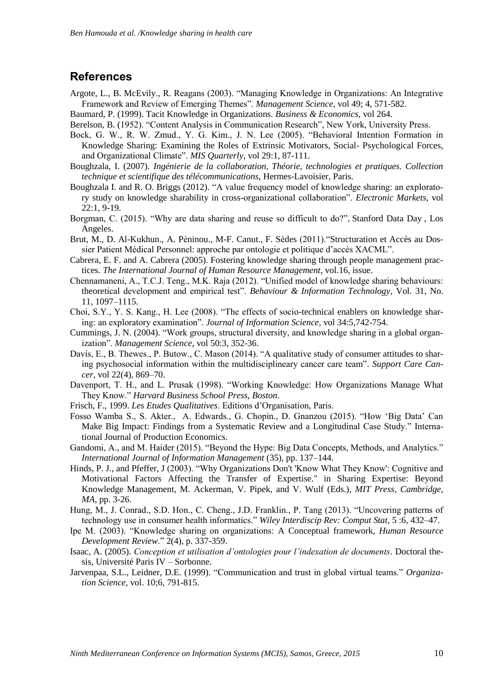### **References**

- Argote, L., B. McEvily., R. Reagans (2003). "Managing Knowledge in Organizations: An Integrative Framework and Review of Emerging Themes". *Management Science*, vol 49; 4, 571-582.
- Baumard, P. (1999). Tacit Knowledge in Organizations. *Business & Economics*, vol 264.
- Berelson, B. (1952). "Content Analysis in Communication Research", New York, University Press.
- Bock, G. W., R. W. Zmud., Y. G. Kim., J. N. Lee (2005). "Behavioral Intention Formation in Knowledge Sharing: Examining the Roles of Extrinsic Motivators, Social- Psychological Forces, and Organizational Climate". *MIS Quarterly*, vol 29:1, 87-111.
- Boughzala, I. (2007). *Ingénierie de la collaboration, Théorie, technologies et pratiques. Collection technique et scientifique des télécommunications*, Hermes-Lavoisier, Paris.
- Boughzala I. and R. O. Briggs (2012). "A value frequency model of knowledge sharing: an exploratory study on knowledge sharability in cross-organizational collaboration". *Electronic Markets,* vol 22:1, 9-19.
- Borgman, C. (2015). "Why are data sharing and reuse so difficult to do?", Stanford Data Day , Los Angeles.
- Brut, M., D. Al-Kukhun., A. Péninou., M-F. Canut., F. Sèdes (2011)."Structuration et Accès au Dossier Patient Médical Personnel: approche par ontologie et politique d'accès XACML".
- Cabrera, E. F. and A. Cabrera (2005). Fostering knowledge sharing through people management practices*. The International Journal of Human Resource Management*, vol.16, issue.
- Chennamaneni, A., T.C.J. Teng., M.K. Raja (2012). "Unified model of knowledge sharing behaviours: theoretical development and empirical test". *Behaviour & Information Technology*, Vol. 31, No. 11, 1097–1115.
- Choi, S.Y., Y. S. Kang., H. Lee (2008). "The effects of socio-technical enablers on knowledge sharing: an exploratory examination". *Journal of Information Science*, vol 34:5,742-754.
- Cummings, J. N. (2004). "Work groups, structural diversity, and knowledge sharing in a global organization". *Management Science,* vol 50:3, 352-36.
- Davis, E., B. Thewes., P. Butow., C. Mason (2014). "A qualitative study of consumer attitudes to sharing psychosocial information within the multidisciplineary cancer care team"*. Support Care Cancer*, vol 22(4), 869–70.
- Davenport, T. H., and L. Prusak (1998). "Working Knowledge: How Organizations Manage What They Know." *Harvard Business School Press, Boston*.
- Frisch, F., 1999. *Les Etudes Qualitatives*. Editions d'Organisation, Paris.
- Fosso Wamba S., S. Akter., A. Edwards., G. Chopin., D. Gnanzou (2015). "How 'Big Data' Can Make Big Impact: Findings from a Systematic Review and a Longitudinal Case Study." International Journal of Production Economics.
- Gandomi, A., and M. Haider (2015). "Beyond the Hype: Big Data Concepts, Methods, and Analytics." *International Journal of Information Management* (35), pp. 137–144.
- Hinds, P. J., and Pfeffer, J (2003). "Why Organizations Don't 'Know What They Know': Cognitive and Motivational Factors Affecting the Transfer of Expertise." in Sharing Expertise: Beyond Knowledge Management, M. Ackerman, V. Pipek, and V. Wulf (Eds.), *MIT Press, Cambridge, MA*, pp. 3-26.
- Hung, M., J. Conrad., S.D. Hon., C. Cheng., J.D. Franklin., P. Tang (2013). "Uncovering patterns of technology use in consumer health informatics." *Wiley Interdiscip Rev: Comput Stat*, 5 :6, 432–47.
- Ipe M. (2003). "Knowledge sharing on organizations: A Conceptual framework, *Human Resource Development Review*." 2(4), p. 337-359.
- Isaac, A. (2005). *Conception et utilisation d'ontologies pour l'indexation de documents*. Doctoral thesis, Université Paris IV – Sorbonne.
- Jarvenpaa, S.L., Leidner, D.E. (1999). "Communication and trust in global virtual teams." *Organization Science*, vol. 10;6, 791-815.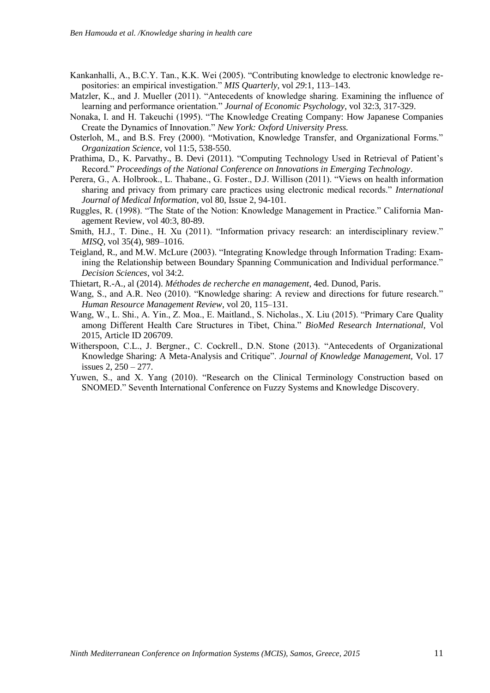Kankanhalli, A., B.C.Y. Tan., K.K. Wei (2005). "Contributing knowledge to electronic knowledge repositories: an empirical investigation." *MIS Quarterly*, vol *29*:1, 113–143.

- Matzler, K., and J. Mueller (2011). "Antecedents of knowledge sharing. Examining the influence of learning and performance orientation." *Journal of Economic Psychology*, vol 32:3, 317-329.
- Nonaka, I. and H. Takeuchi (1995). "The Knowledge Creating Company: How Japanese Companies Create the Dynamics of Innovation." *New York: Oxford University Press.*
- Osterloh, M., and B.S. Frey (2000). "Motivation, Knowledge Transfer, and Organizational Forms." *Organization Science*, vol 11:5, 538-550.
- Prathima, D., K. Parvathy., B. Devi (2011). "Computing Technology Used in Retrieval of Patient's Record." *Proceedings of the National Conference on Innovations in Emerging Technology*.
- Perera, G., A. Holbrook., L. Thabane., G. Foster., D.J. Willison (2011). "Views on health information sharing and privacy from primary care practices using electronic medical records." *International Journal of Medical Information,* vol 80, Issue 2, 94-101.
- Ruggles, R. (1998). "The State of the Notion: Knowledge Management in Practice." California Management Review, vol 40:3, 80-89.
- Smith, H.J., T. Dine., H. Xu (2011). "Information privacy research: an interdisciplinary review." *MISQ*, vol 35(4), 989–1016.
- Teigland, R., and M.W. McLure (2003). "Integrating Knowledge through Information Trading: Examining the Relationship between Boundary Spanning Communication and Individual performance." *Decision Sciences*, vol 34:2.

Thietart, R.-A., al (2014). *Méthodes de recherche en management*, 4ed. Dunod, Paris.

- Wang, S., and A.R. Neo (2010). "Knowledge sharing: A review and directions for future research." *Human Resource Management Review*, vol 20, 115–131.
- Wang, W., L. Shi., A. Yin., Z. Moa., E. Maitland., S. Nicholas., X. Liu (2015). "Primary Care Quality among Different Health Care Structures in Tibet, China." *BioMed Research International,* Vol 2015, Article ID 206709.
- Witherspoon, C.L., J. Bergner., C. Cockrell., D.N. Stone (2013). "Antecedents of Organizational Knowledge Sharing: A Meta-Analysis and Critique". *Journal of Knowledge Management,* Vol. 17 issues 2, 250 – 277.
- Yuwen, S., and X. Yang (2010). "Research on the Clinical Terminology Construction based on SNOMED." Seventh International Conference on Fuzzy Systems and Knowledge Discovery.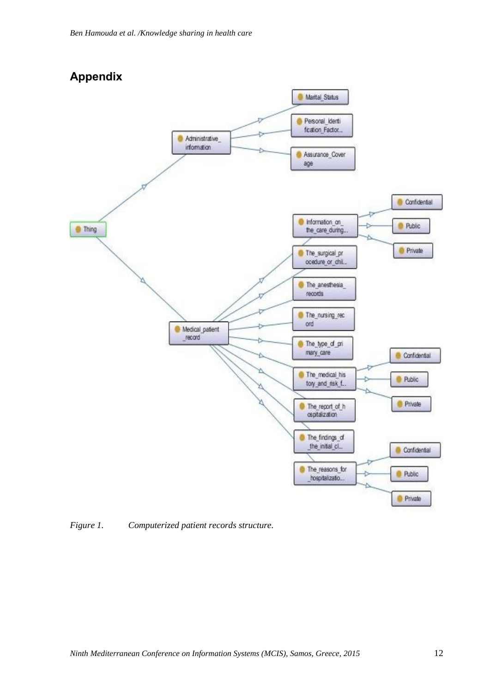

*Figure 1. Computerized patient records structure.*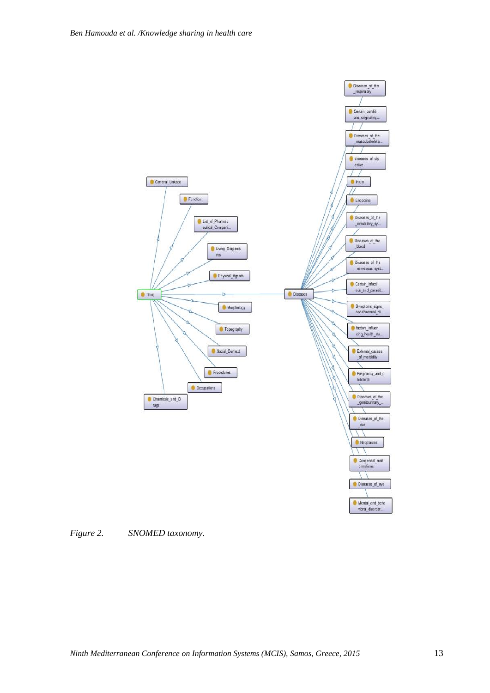

*Figure 2. SNOMED taxonomy.*